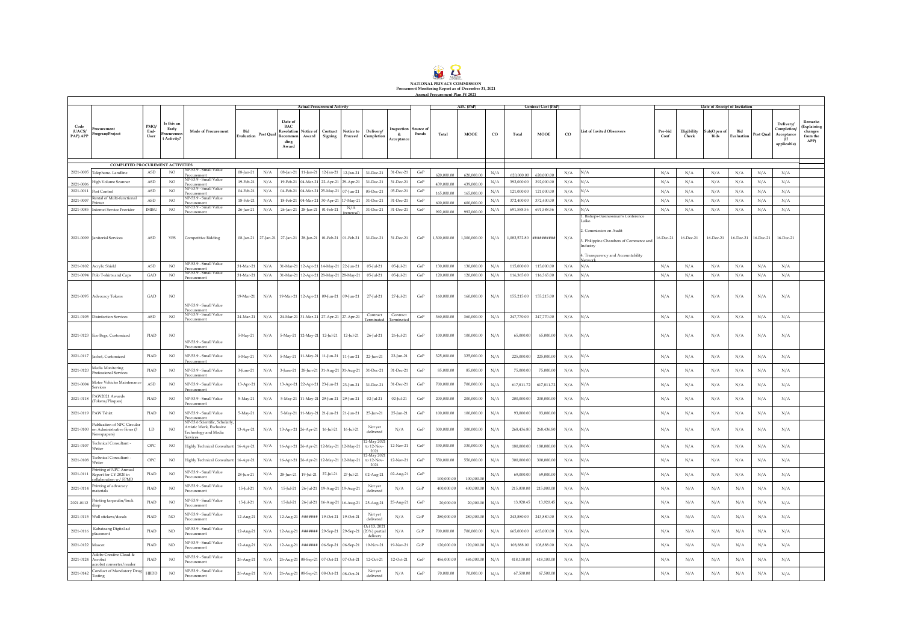

 $\Gamma$ 

|                            |                                                                                |                               |                                                  |                                                                                               | <b>Actual Procurement Activity</b> |           |                                                             |                                      |                               |                                         |                                           |                         |                   |              | ABC (PhP)    |             |                         | <b>Contract Cost (PhP)</b> |             |                                                                                                                           |                 |                      | Date of Receipt of Invitation |                   |           |                                                             |                                                             |
|----------------------------|--------------------------------------------------------------------------------|-------------------------------|--------------------------------------------------|-----------------------------------------------------------------------------------------------|------------------------------------|-----------|-------------------------------------------------------------|--------------------------------------|-------------------------------|-----------------------------------------|-------------------------------------------|-------------------------|-------------------|--------------|--------------|-------------|-------------------------|----------------------------|-------------|---------------------------------------------------------------------------------------------------------------------------|-----------------|----------------------|-------------------------------|-------------------|-----------|-------------------------------------------------------------|-------------------------------------------------------------|
| Code<br>(UACS/<br>PAP) APP | Procurement<br>Program/Project                                                 | PMO/<br>End-<br>$_{\rm User}$ | Is this an<br>Early<br>Procuremen<br>t Activity? | Mode of Procurement                                                                           | Bid<br>Evaluation                  | Post Qual | Date of<br><b>BAC</b><br>Recommen<br>ding<br>Award          | <b>Resolution</b> Notice of<br>Award | Contract<br>Signing           | Notice to<br>Proceed                    | Delivery/<br>Completion                   | ıspection<br>Acceptance | Source o<br>Funds | Total        | <b>MOOE</b>  | $_{\rm CO}$ | Total                   | <b>MOOE</b>                | $_{\rm CO}$ | <b>List of Invited Observers</b>                                                                                          | Pre-bid<br>Conf | Eligibility<br>Check | sub/Open of<br>Bids           | Bid<br>Evaluation | Post Qual | Delivery/<br>Completion<br>Acceptance<br>(If<br>applicable) | Remarks<br><b>Explaining</b><br>changes<br>from the<br>APP) |
|                            | COMPLETED PROCUREMENT ACTIVITIES                                               |                               |                                                  |                                                                                               |                                    |           |                                                             |                                      |                               |                                         |                                           |                         |                   |              |              |             |                         |                            |             |                                                                                                                           |                 |                      |                               |                   |           |                                                             |                                                             |
|                            | 2021-0005 Telephone- Landline                                                  | ASD.                          | NO                                               | VP-53 9 - Small Value                                                                         | $08$ -Jan-21                       | N/A       |                                                             |                                      |                               | 08-Jan-21 11-Jan-21 12-Jan-21 12-Jan-21 | 31-Dec-21                                 | 31-Dec-21               | $\rm{GoP}$        |              |              | N/A         |                         |                            | N/A         | N/A                                                                                                                       | N/A             | N/A                  | N/A                           | N/A               | N/A       | N/A                                                         |                                                             |
|                            |                                                                                | <b>ASD</b>                    | NO.                                              | Procurement<br><b>VP-53.9 - Small Value</b>                                                   | 19-Feb-21                          | N/A       | $19 - Feh - 21$                                             |                                      | 04-Mar-21 22-Apr-21           |                                         |                                           | 31-Dec-21               | GoP               | 620,000.00   | 620,000.00   |             | 620,000.00              | 620.000.0                  |             | N/A                                                                                                                       |                 |                      |                               |                   |           |                                                             |                                                             |
| 2021-0006                  | <b>High Volume Scanner</b>                                                     |                               |                                                  | Procurement<br>NP-53.9 - Small Value                                                          |                                    |           |                                                             |                                      |                               | 29-Apr-21                               | 31-Dec-21                                 |                         |                   | 439,000.00   | 439,000.00   | N/A         | 392,000.00              | 392,000.00                 | N/A         |                                                                                                                           | N/A             | N/A                  | N/A                           | N/A               | N/A       | N/A                                                         |                                                             |
| 2021-0011                  | Pest Control<br>ntal of Multi-functiona                                        | <b>ASD</b>                    | N()                                              | rocurement<br>P-53.9 - Small Value                                                            | $04-Feh-21$                        | N/A       |                                                             | 04-Feb-21 04-Mar-21 25-May-21        |                               | 07-Jun-21                               | 05-Dec-21                                 | 05-Dec-21               | $\rm{GoP}$        | 165,000.00   | 165,000.0    | N/A         | 121,000.00              | 121,000.00                 | N/A         | N/A                                                                                                                       | N/A             | N/A                  | N/A                           | N/A               | N/A       | N/A                                                         |                                                             |
| 2021-0007                  | inter                                                                          | ASD                           | NO.                                              | Procurement<br>NP-53.9 - Small Value                                                          | 18-Feb-21                          | N/A       | 18-Feb-21                                                   |                                      | 04-Mar-21 30-Apr-21           | 7-May-21<br>N/A                         | 31-Dec-21                                 | 31-Dec-21               | GoP               | 600,000.00   | 600,000.0    | N/A         | 372,400.00              | 372,400.00                 | N/A         | N/A                                                                                                                       | N/A             | N/A                  | N/A                           | N/A               | N/A       | N/A                                                         |                                                             |
| 2021-0085                  | Internet Service Provider                                                      | <b>IMISU</b>                  | NO.                                              | Procurement                                                                                   | 26-Jan-21                          | N/A       | 26-Jan-21                                                   | 28-Jan-21                            | 01-Feb-21                     |                                         | 31-Dec-21                                 | 31-Dec-21               | $\rm{GoP}$        | 992,000.00   | 992,000.0    | N/A         | 691,588.56              | 691,588.56                 | N/A         | N/A<br>Bishops-Businessman's Conference                                                                                   | N/A             | N/A                  | N/A                           | N/A               | N/A       | N/A                                                         |                                                             |
|                            | 2021-0009 Janitorial Services                                                  | ASD                           | YES                                              | Competitive Bidding                                                                           |                                    |           | 08-Jan-21 27-Jan-21 27-Jan-21 28-Jan-21 01-Feb-21 01-Feb-21 |                                      |                               |                                         | 31-Dec-21                                 | 31-Dec-21               | GoP               | 1,300,000,00 | 1,300,000,00 | N/A         | 1,082,572.80 ########## |                            | N/A         | Laiko<br>. Commission on Audit<br>3. Philippine Chambers of Commerce and<br>Industry<br>. Transparency and Accountability | 16-Dec-21       | 16-Dec-21            | 16-Dec-21                     | 16-Dec-21         | 16-Dec-21 | 16-Dec-21                                                   |                                                             |
| 2021-0102                  | Acrylic Shield                                                                 | ASD                           | NO.                                              | <b>VP-53.9 - Small Value</b><br>rocurement                                                    | 31-Mar-21                          | N/A       |                                                             |                                      | 31-Mar-21 12-Apr-21 14-May-21 | 22-Jun-21                               | $05$ -Jul-21                              | $05$ -Jul-21            | GoP               | 130,000.00   | 130,000.00   | N/A         | 115,000.00              | 115,000.00                 | N/A         | N/A                                                                                                                       | N/A             | N/A                  | N/A                           | N/A               | N/A       | N/A                                                         |                                                             |
|                            | 2021-0094 Polo T-shirts and Caps                                               | GAD                           | NO.                                              | NP-53.9 - Small Value<br>Procurement                                                          | 31-Mar-21                          | N/A       |                                                             |                                      | 31-Mar-21 12-Apr-21 28-May-21 | 28-May-21                               | $05$ -Jul-21                              | 05-Jul-21               | $\rm{GoP}$        | 120,000.00   | 120,000.00   | N/A         | 116,365.00              | 116,365.00                 | N/A         | N/A                                                                                                                       | N/A             | N/A                  | N/A                           | N/A               | N/A       | N/A                                                         |                                                             |
|                            | 2021-0095 Advocacy Tokens                                                      | GAD                           | NO.                                              | NP-53.9 - Small Value<br>Procurement                                                          | 19-Mar-21                          | N/A       |                                                             |                                      | 19-Mar-21 12-Apr-21 09-Jun-21 | 09-Jun-21                               | 27-Jul-21                                 | 27-Jul-21               | $\rm{GoP}$        | 160,000.00   | 160,000.00   | N/A         | 155,215.00              | 155,215.00                 | N/A         | N/A                                                                                                                       | N/A             | N/A                  | N/A                           | N/A               | N/A       | N/A                                                         |                                                             |
| 2021-0105                  | <b>Disinfection Services</b>                                                   | ASD                           | NO.                                              | NP-53 9 - Small Value<br>rocurement                                                           | 24-Mar-21                          | N/A       |                                                             |                                      |                               | 24-Mar-21 31-Mar-21 27-Apr-21 27-Apr-21 | Contract                                  | Contract                | $\rm{GoP}$        | 360,000.00   | 360,000.00   | N/A         | 247,770.00              | 247,770.00                 | N/A         | N/A                                                                                                                       | N/A             | N/A                  | N/A                           | N/A               | N/A       | N/A                                                         |                                                             |
|                            | 2021-0123 Eco Bags, Customized                                                 | PIAD                          | NO.                                              | NP-53.9 - Small Value<br>Procurement                                                          | 5-May-21                           | N/A       |                                                             |                                      | 5-May-21 12-May-21 12-Jul-21  | $12$ -Jul-21                            | 26-Jul-21                                 | 26-Jul-21               | GoP               | 100,000.00   | 100,000.00   | N/A         | 65,000.00               | 65,000.00                  | N/A         | N/A                                                                                                                       | N/A             | N/A                  | N/A                           | N/A               | N/A       | N/A                                                         |                                                             |
|                            | 2021-0117 Jacket, Customized                                                   | PIAD                          | NO.                                              | NP-53.9 - Small Value<br>Procurement                                                          | 5-May-21                           | N/A       |                                                             |                                      | 5-May-21 11-May-21 11-Jun-21  | 11-Jun-21                               | $22$ -Jun-21                              | 22-Jun-21               | $\rm{GoP}$        | 325,000.00   | 325,000.00   | N/A         | 225,000.00              | 225,000.0                  | N/A         | N/A                                                                                                                       | N/A             | N/A                  | N/A                           | N/A               | N/A       | N/A                                                         |                                                             |
| 2021-0120                  | Media Monitoring<br>Professional Services                                      | PIAD                          | NO.                                              | NP-53.9 - Small Value<br>rocurement                                                           | 3-June-21                          | N/A       | $3$ -June- $21$                                             |                                      | 28-Jun-21 31-Aug-21           | 31-Aug-21                               | 31-Dec-21                                 | 31-Dec-21               | $\rm{GoP}$        | 85,000.00    | 85,000.00    | N/A         | 75,000.00               | 75,000.0                   | N/A         | N/A                                                                                                                       | N/A             | N/A                  | N/A                           | N/A               | N/A       | N/A                                                         |                                                             |
| 2021-0004                  | fotor Vehicles Maintenanc<br>services                                          | ASD                           | $_{\rm NO}$                                      | NP-53 9 - Small Value<br>Procurement                                                          | 13-Apr-21                          | N/A       |                                                             |                                      |                               | 13-Apr-21 22-Apr-21 23-Jun-21 23-Jun-21 | 31-Dec-21                                 | 31-Dec-21               | $\rm{GoP}$        | 700,000.00   | 700,000.00   | N/A         | 617.811.72              | 617.811.7                  | N/A         | N/A                                                                                                                       | N/A             | N/A                  | N/A                           | N/A               | N/A       | N/A                                                         |                                                             |
| 2021-0118                  | PAW2021 Awards<br>Tokens/Plaques)                                              | PIAD                          | $_{\rm NO}$                                      | <b>NP-53.9 - Small Value</b><br>Procurement                                                   | 5-May-21                           | N/A       | $5-Mav-21$                                                  |                                      | 11-May-21 29-Jun-21           | 29-Jun-21                               | $02$ -Jul-21                              | 02-Jul-21               | $\rm{GoP}$        | 200,000.00   | 200,000.00   | N/A         | 200,000.00              | 200,000.0                  | N/A         | N/A                                                                                                                       | N/A             | N/A                  | N/A                           | N/A               | N/A       | N/A                                                         |                                                             |
|                            | 2021-0119 PAW Tshirt                                                           | PIAD                          | NO <sub>1</sub>                                  | NP-53.9 - Small Value<br>Procurement                                                          | $5-May-21$                         | N/A       |                                                             |                                      |                               | 5-May-21 11-May-21 21-Jun-21 21-Jun-21  | 25-Jun-21                                 | 25-Jun-21               | GoP               | 100,000.00   | 100,000.00   | N/A         | 93,000.00               | 93,000.00                  | N/A         | N/A                                                                                                                       | $\rm N/A$       | N/A                  | N/A                           | N/A               | N/A       | N/A                                                         |                                                             |
| 2021-0100                  | Publication of NPC Circular<br>on Administrative Fines (3<br>Newspapers)       | ${\rm LD}$                    | NO.                                              | NP-53.6 Scientific, Scholarly<br>Artistic Work, Exclusive<br>Technology and Media<br>services | 13-Apr-21                          | N/A       |                                                             |                                      | 13-Apr-21 26-Apr-21 16-Jul-21 | $16 -  ul - 21$                         | Not yet<br>delivered                      | N/A                     | $\rm{GoP}$        | 300,000.00   | 300,000,00   | N/A         | 268,436.80              | 268,436.8                  | N/A         | N/A                                                                                                                       | N/A             | N/A                  | N/A                           | N/A               | N/A       | N/A                                                         |                                                             |
| 2021-0107                  | Technical Consultant -<br>Writer                                               | OPC                           | $_{\rm NO}$                                      | <b>Highly Technical Consultant</b>                                                            | 16-Apr-21                          | N/A       |                                                             |                                      | 16-Apr-21 26-Apr-21 12-May-21 | 12-May-21                               | 12-May 202<br>to 12-Nov-<br>2021          | $12-Nov-21$             | $\rm{GoP}$        | 330,000.00   | 330,000.00   | N/A         | 180,000.00              | 180,000.0                  | N/A         | N/A                                                                                                                       | N/A             | N/A                  | N/A                           | N/A               | N/A       | N/A                                                         |                                                             |
| 2021-0108                  | Fechnical Consultant -<br>Writer                                               | OPC                           | NO.                                              | <b>Highly Technical Consultant</b>                                                            | 16-Apr-21                          | N/A       |                                                             |                                      | 16-Apr-21 26-Apr-21 12-May-21 | 12-May-21                               | 12-May 2021<br>to 12-Nov<br>2021          | 12-Nov-21               | $\rm{GoP}$        | 550,000.00   | 550,000.00   | N/A         | 300,000.00              | 300,000.0                  | N/A         | N/A                                                                                                                       | N/A             | N/A                  | N/A                           | N/A               | N/A       | N/A                                                         |                                                             |
| 2021-0111                  | <b>Printing of NPC Annual</b><br>Report for CY 2020 in<br>ollaboration w/ FPMD | PIAD                          | $_{\rm NO}$                                      | NP-53.9 - Small Value<br>Procurement                                                          | 28-Jun-21                          | N/A       | 28-Jun-21                                                   |                                      | 19-Jul-21 27-Jul-21           | 27-Jul-21                               | 02-Aug-21                                 | 02-Aug-21               | $\rm{GoP}$        | 100,000.00   | 100,000.0    | N/A         | 69,000.00               | 69,000.0                   | N/A         | N/A                                                                                                                       | N/A             | N/A                  | N/A                           | N/A               | N/A       | N/A                                                         |                                                             |
| 2021-0114                  | Printing of advocacy<br>aterials                                               | PIAD                          | NO.                                              | NP-53.9 - Small Value<br>rocurement                                                           | $15$ -Jul-21                       | N/A       | $15$ -Jul-21                                                |                                      | 26-Jul-21 19-Aug-21           | 19-Aug-21                               | Not yet<br>delivered                      | N/A                     | GoP               | 400,000.00   | 400,000.00   | N/A         | 215,000.00              | 215,000.00                 | N/A         | N/A                                                                                                                       | N/A             | N/A                  | N/A                           | N/A               | N/A       | N/A                                                         |                                                             |
| 2021-0112                  | rinting tarpaulin/back<br>drop                                                 | PIAD                          | $_{\rm NO}$                                      | NP-53.9 - Small Value<br>Procurement                                                          | $15$ -Jul-21                       | N/A       | $15$ -Jul-21                                                |                                      |                               | 26-Jul-21 16-Aug-21 16-Aug-21           | 25-Aug-21                                 | 25-Aug-21               | $\rm{GoP}$        | 20,000.00    | 20,000.00    | $\rm N/A$   | 13,920.45               | 13,920.45                  | N/A         | N/A                                                                                                                       | N/A             | N/A                  | N/A                           | N/A               | $\rm N/A$ | $\rm N/A$                                                   |                                                             |
|                            | 2021-0115 Wall stickers/decals                                                 | PIAD                          | $_{\rm NO}$                                      | NP-53 9 - Small Value<br>Procurement                                                          | 12-Aug-21                          | N/A       | 12-Aug-21                                                   | *******                              | 19-Oct-21                     | 19-Oct-21                               | Not yet<br>delivered                      | N/A                     | $\rm{GoP}$        | 280,000.00   | 280,000.00   | N/A         | 243,880.00              | 243,880.00                 | N/A         | N/A                                                                                                                       | N/A             | N/A                  | N/A                           | N/A               | N/A       | N/A                                                         |                                                             |
| 2021-0116                  | Kabataang Digital ad<br>placement                                              | PIAD                          | $_{\rm NO}$                                      | NP-53 9 - Small Value<br>Procurement                                                          | 12-Aug-21                          | N/A       | 12-Aug-21                                                   |                                      | ####### 29-Sep-21             | 29-Sep-21                               | Oct 13, 2021<br>(20%) partial<br>delivery | N/A                     | $\rm{GoP}$        | 700,000.00   | 700,000.00   | N/A         | 665,000.00              | 665,000.00                 | N/A         | N/A                                                                                                                       | N/A             | N/A                  | N/A                           | N/A               | N/A       | N/A                                                         |                                                             |
| 2021-0122 Mascot           | Adobe Creative Cloud &                                                         | PIAD                          | $_{\rm NO}$                                      | NP-53.9 - Small Value<br>Procurement                                                          | 12-Aug-21                          | N/A       | 12-Aug-21                                                   | ********                             | 06-Sep-21                     | 06-Sep-21                               | 19-Nov-21                                 | 19-Nov-21               | GoP               | 120,000.00   | 120,000.0    | N/A         | 108,888.00              | 108,888.00                 | N/A         | N/A                                                                                                                       | N/A             | N/A                  | N/A                           | N/A               | N/A       | N/A                                                         |                                                             |
| 2021-0124 Acrobat          | robat cor                                                                      | PIAD                          | NO.                                              | NP-53.9 - Small Value<br>rocurement                                                           | 26-Aug-21                          | N/A       | 26-Aug-21                                                   |                                      | 08-Sep-21 07-Oct-21           | 07-Oct-21                               | 12-Oct-21                                 | 12-Oct-21               | $\rm{GoP}$        | 486,000.00   | 486,000.00   | N/A         | 418,100.00              | 418,100.00                 | N/A         | N/A                                                                                                                       | N/A             | N/A                  | N/A                           | N/A               | $\rm N/A$ | N/A                                                         |                                                             |
| 2021-0142                  | Conduct of Mandatory Drug<br>Testing                                           | <b>HRDD</b>                   | $_{\rm NO}$                                      | NP-53.9 - Small Value<br>Procurement                                                          | 26-Aug-21                          | N/A       |                                                             |                                      | 26-Aug-21 08-Sep-21 08-Oct-21 | 08-Oct-21                               | Not yet<br>delivered                      | N/A                     | $\rm{GoP}$        | 70,000.00    | 70,000.00    | N/A         | 67,500.00               | 67,500.00                  | N/A         | N/A                                                                                                                       | N/A             | N/A                  | N/A                           | $\rm N/A$         | $\rm N/A$ | N/A                                                         |                                                             |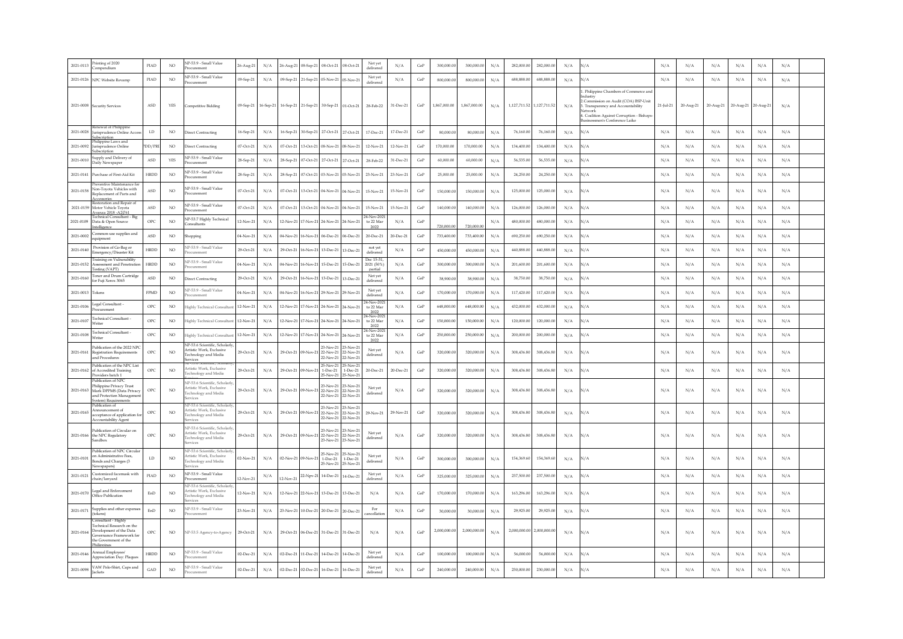| 2021-0113 | rinting of 2020<br>Compendium                                                                                                       | PIAD                 | NO <sub>1</sub> | NP-53.9 - Small Value<br>rocurement                                                               | 26-Aug-21  | $\rm N/A$ |                     |                     | 26-Aug-21 08-Sep-21 08-Oct-21 08-Oct-21                                                   | Not yet<br>delivered               | N/A             | GoP        | 300,000.00   | 300,000.00   | N/A       | 282,000.00                | 282,000.00   | N/A       | N/A                                                                                                                                                                                                                | N/A         | N/A       | $\rm N/A$ | N/A                 | $\rm N/A$ | $\rm N/A$ |  |
|-----------|-------------------------------------------------------------------------------------------------------------------------------------|----------------------|-----------------|---------------------------------------------------------------------------------------------------|------------|-----------|---------------------|---------------------|-------------------------------------------------------------------------------------------|------------------------------------|-----------------|------------|--------------|--------------|-----------|---------------------------|--------------|-----------|--------------------------------------------------------------------------------------------------------------------------------------------------------------------------------------------------------------------|-------------|-----------|-----------|---------------------|-----------|-----------|--|
|           | 2021-0126 NPC Website Revamp                                                                                                        | PIAD                 | NO <sub>1</sub> | NP-53.9 - Small Value<br>rocurement                                                               | 09-Sep-21  | N/A       |                     |                     | 09-Sep-21 21-Sep-21 05-Nov-21 05-Nov-21                                                   | Not yet<br>delivered               | N/A             | $\rm{GoP}$ | 800,000.0    | 800,000.00   | $\rm N/A$ | 688,888.00                | 688,888.0    | N/A       | N/A                                                                                                                                                                                                                | N/A         | N/A       | $\rm N/A$ | $\rm N/A$           | $\rm N/A$ | $\rm N/A$ |  |
|           | 2021-0008 Security Services                                                                                                         | <b>ASD</b>           | YES             | Competitive Bidding                                                                               | 09-Sep-21  | 16-Sep-21 |                     |                     | 16-Sep-21 21-Sep-21 30-Sep-21 01-Oct-21                                                   | 28-Feb-22                          | 31-Dec-21       | GoP        | 1.867.000.00 | 1.867.000.00 | $\rm N/A$ | 1.127.711.52 1.127.711.52 |              | N/A       | Philippine Chambers of Commerce and<br>ndustry<br>Commission on Audit (COA) BSP-Unit<br>3. Transparency and Accountability<br>Jetwork<br>L Coalition Against Corruption - Bishops<br>usinessmen's Conference Laiko | $21-Iul-21$ | 20-Aug-21 | 20-Aug-21 | 20-Aug-21 20-Aug-21 |           | $\rm N/A$ |  |
| 2021-0028 | enewal of Philippine<br>risprudence Online Acce<br>abscription                                                                      | LD                   | NO.             | Virect Contracting                                                                                | 16-Sep-21  | N/A       |                     |                     | 16-Sep-21 30-Sep-21 27-Oct-21 27-Oct-21                                                   | 17-Dec-21                          | 17-Dec-21       | $\rm{GoP}$ | 80,000.0     | 80,000.0     | $\rm N/A$ | 76,160.0                  | 76,160.0     | N/A       | N/A                                                                                                                                                                                                                | N/A         | N/A       | $\rm N/A$ | N/A                 | $\rm N/A$ | $\rm N/A$ |  |
| 2021-0092 | hilippine Laws and<br>urisprudence Online<br>abscription                                                                            | DD/PR                | $_{\rm NO}$     | Direct Contracting                                                                                | 07-Oct-21  | N/A       |                     | 07-Oct-21 13-Oct-21 | 08-Nov-21 08-Nov-21                                                                       | 12-Nov-21                          | 12-Nov-21       | GoF        | 170,000.00   | 170,000.00   | N/A       | 134,400.0                 | 134,400.0    | N/A       | $\sqrt{A}$                                                                                                                                                                                                         | N/A         | N/A       | N/A       | N/A                 | $\rm N/A$ | N/A       |  |
| 2021-001  | upply and Delivery of<br>Daily Newspaper                                                                                            | $\operatorname{ASD}$ | YES             | VP-53 9 - Small Value<br>hocurement                                                               | 28-Sep-21  | $\rm N/A$ |                     | 28-Sep-21 07-Oct-21 | 27-Oct-21<br>27-Oct-21                                                                    | 28-Feb-22                          | $31 - Dec - 21$ | GoF        | 60,000.00    | 60,000.00    | N/A       | 56,535.00                 | 56,535.0     | N/A       | $\sqrt{A}$                                                                                                                                                                                                         | N/A         | N/A       | $\rm N/A$ | $\rm N/A$           | $\rm N/A$ | $\rm N/A$ |  |
| 2021-0141 | Purchase of First-Aid Kit                                                                                                           | HRDD                 | NO.             | P-53.9 - Small Value<br>tocurement                                                                | 28-Sep-21  | $\rm N/A$ |                     |                     | 28-Sep-21 07-Oct-21 03-Nov-21 03-Nov-21                                                   | 23-Nov-21                          | 23-Nov-21       | GoF        | 25,000.00    | 25,000.00    | N/A       | 24,250.00                 | 24,250.0     | N/A       | $\sqrt{A}$                                                                                                                                                                                                         | N/A         | $\rm N/A$ | $\rm N/A$ | $\rm N/A$           | $\rm N/A$ | $\rm N/A$ |  |
| 2021-0158 | Preventive Maintenance fo<br>Non-Toyota Vehicles with<br>Replacement of Parts and                                                   | ASD                  | NO <sub>1</sub> | NP-53.9 - Small Value<br>rocurement                                                               | 07-Oct-21  | $\rm N/A$ |                     |                     | 07-Oct-21 13-Oct-21 04-Nov-21 04-Nov-21                                                   | 15-Nov-21                          | 15-Nov-21       | GoP        | 150,000.0    | 150,000.0    | $\rm N/A$ | 125,000.0                 | 125,000.00   | N/A       | N/A                                                                                                                                                                                                                | N/A         | N/A       | N/A       | $\rm N/A$           | $\rm N/A$ | $\rm N/A$ |  |
| 2021-0159 | Restoration and Repair of<br>Motor Vehicle Toyota<br>Avanza 2018 - A2j761                                                           | $\operatorname{ASD}$ | $_{\rm NO}$     | NP-53.9 - Small Value<br>tocurement                                                               | 07-Oct-21  | N/A       |                     |                     | 07-Oct-21 13-Oct-21 04-Nov-21 04-Nov-21                                                   | 15-Nov-21                          | 15-Nov-21       | $\rm{GoP}$ | 140,000.0    | 140,000.00   | N/A       | 126,000.0                 | 126,000.00   | N/A       | $\sqrt{A}$                                                                                                                                                                                                         | N/A         | N/A       | N/A       | N/A                 | N/A       | N/A       |  |
| 2021-0109 | Technical Consultant - Big<br>Data & Open Source<br>Intelligence                                                                    | OPC                  | $_{\rm NO}$     | NP-53.7 Highly Technical<br>onsultants                                                            | 12-Nov-21  | N/A       |                     |                     | 12-Nov-21 17-Nov-21 24-Nov-21 24-Nov-21                                                   | 24-Nov-2021<br>to 22 Mar<br>2022   | N/A             | GoP        | 720,000      | 720,000.0    | N/A       | 480,000.0                 | 480,000.00   | N/A       | $\sqrt{A}$                                                                                                                                                                                                         | N/A         | N/A       | N/A       | N/A                 | $\rm N/A$ | N/A       |  |
| 2021-0002 | ommon-use supplies and<br>quipment                                                                                                  | ASD                  | NO <sub>1</sub> | hopping                                                                                           | 04-Nov-21  | N/A       |                     |                     | 04-Nov-21 16-Nov-21 06-Dec-21 06-Dec-21                                                   | 20-Dec-21                          | 20-Dec-21       | GoP        | 733,400.0    | 733,400.00   | N/A       | 690.250.00                | 690.250.00   | N/A       | N/A                                                                                                                                                                                                                | N/A         | N/A       | N/A       | N/A                 | N/A       | N/A       |  |
| 2021-0140 | Provision of Go-Bag or<br>Emergency/Disaster Kit                                                                                    | HRDD                 | NO <sub>1</sub> | P-53.9 - Small Value<br>rocurement                                                                | 29-Oct-21  | N/A       |                     |                     | 29-Oct-21 16-Nov-21 13-Dec-21 13-Dec-21                                                   | not yet<br>delivered               | N/A             | GoP        | 450,000.0    | 450,000.00   | $\rm N/A$ | 440,888.00                | 440,888.00   | N/A       | $\sqrt{A}$                                                                                                                                                                                                         | N/A         | N/A       | N/A       | N/A                 | $\rm N/A$ | $\rm N/A$ |  |
| 2021-0152 | raining on Vulnerability<br>ssessment and Penetration<br>Testing (VAPT)                                                             | <b>HRDD</b>          | NO <sub>1</sub> | P-53.9 - Small Value<br>rocurement                                                                | 04-Nov-2   | N/A       |                     |                     | 04-Nov-21 16-Nov-21 15-Dec-21 15-Dec-21                                                   | Dec 15-31<br>2021 (50%)<br>partial | N/A             | $\rm{GoP}$ | 300,000.0    | 300,000.0    | $\rm N/A$ | 201.600.00                | 201,600.00   | $\rm N/A$ | $\sqrt{A}$                                                                                                                                                                                                         | N/A         | N/A       | N/A       | $\rm N/A$           | N/A       | $\rm N/A$ |  |
| 2021-0160 | Toner and Drum Cartridge<br>for Fuji Xerox 3065                                                                                     | ASD                  | NO <sub>1</sub> | irect Contracting                                                                                 | 29-Oct-21  | N/A       |                     |                     | 29-Oct-21   16-Nov-21   13-Dec-21   13-Dec-21                                             | Not yet<br>delivered               | $\rm N/A$       | $\rm{GoP}$ | 38,900.00    | 38,900.00    | N/A       | 38,750.0                  | 38,750.00    | $\rm N/A$ | V/А                                                                                                                                                                                                                | N/A         | N/A       | $\rm N/A$ | N/A                 | $\rm N/A$ | $\rm N/A$ |  |
| 2021-0013 | Tokens                                                                                                                              | FPMD                 | $_{\rm NO}$     | IP-53.9 - Small Value<br>rocurement                                                               | 04-Nov-21  | N/A       |                     |                     | 04-Nov-21 16-Nov-21 29-Nov-21 29-Nov-21                                                   | Not yet<br>delivered               | N/A             | $\rm{GoP}$ | 170,000.00   | 170,000.00   | N/A       | 117,420.0                 | 117,420.0    | N/A       | $\sqrt{A}$                                                                                                                                                                                                         | N/A         | N/A       | N/A       | N/A                 | $\rm N/A$ | N/A       |  |
| 2021-0106 | egal Consultant<br>Procurement                                                                                                      | OPC                  | NO.             | <b>Eighly Technical Consultar</b>                                                                 | 12-Nov-21  | $\rm N/A$ |                     |                     | 12-Nov-21 17-Nov-21 24-Nov-21 24-Nov-21                                                   | 24-Nov-202<br>to 22 Mar<br>2022    | N/A             | GoF        | 648,000.0    | 648,000.00   | N/A       | 432,000.0                 | 432,000.0    | N/A       | $\sqrt{A}$                                                                                                                                                                                                         | N/A         | N/A       | $\rm N/A$ | N/A                 | $\rm N/A$ | N/A       |  |
| 2021-010  | echnical Consultant<br>Writer                                                                                                       | OPC                  | NO <sub>1</sub> | <b>Fighly Technical Consultar</b>                                                                 | 12-Nov-2   | $\rm N/A$ |                     |                     | 12-Nov-21 17-Nov-21 24-Nov-21 24-Nov-21                                                   | 24-Nov-202<br>to 22 Mar<br>2022    | N/A             | GoF        | 150,000.0    | 150,000.00   | N/A       | 120,000.0                 | 120,000.0    | N/A       | $\sqrt{A}$                                                                                                                                                                                                         | N/A         | N/A       | $\rm N/A$ | $\rm N/A$           | $\rm N/A$ | $\rm N/A$ |  |
| 2021-0108 | echnical Consultant<br>Writer                                                                                                       | OPC                  | NO <sub>1</sub> | Highly Technical Consultar                                                                        | 12-Nov-21  | N/A       |                     |                     | 12-Nov-21 17-Nov-21 24-Nov-21 24-Nov-21                                                   | 24-Nov-202<br>to 22 Mar<br>2022    | N/A             | GoP        | 250,000.0    | 250,000.00   | N/A       | 200,000.0                 | 200,000.0    | N/A       | $\sqrt{A}$                                                                                                                                                                                                         | N/A         | N/A       | N/A       | N/A                 | N/A       | N/A       |  |
| 2021-0161 | Publication of the 2022 NPC<br><b>Registration Requirements</b><br>and Procedures                                                   | OPC                  | NO.             | P-53.6 Scientific, Scholarl<br><b>artistic Work</b> , Exclusive<br>echnology and Media<br>ervices | 29-Oct-21  | $\rm N/A$ | 29-Oct-21 09-Nov-   |                     | 23-Nov-21 23-Nov-21<br>22-Nov-21 22-Nov-21<br>22-Nov-21<br>22-Nov-21                      | Not yet<br>delivered               | N/A             | GoP        | 320,000.0    | 320,000.00   | N/A       | 308,436.8                 | 308,436.8    | N/A       | $\sqrt{A}$                                                                                                                                                                                                         | N/A         | N/A       | $\rm N/A$ | $\rm N/A$           | $\rm N/A$ | $\rm N/A$ |  |
| 2021-0162 | Publication of the NPC List<br>of Accredited Training<br>Providers batch 1                                                          | OPC                  | NO <sub>1</sub> | urtistic Work, Exclusive<br>echnology and Media                                                   | 29-Oct-21  | $\rm N/A$ | 29-Oct-21 09-Nov-2  |                     | 25-Nov-21<br>25-Nov-21<br>$1-Dec-21$<br>$1-Dec-21$<br>25-Nov-21<br>25-Nov-21              | 20-Dec-21                          | 20-Dec-21       | GoP        | 320,000.00   | 320,000.00   | N/A       | 308,436.80                | 308,436.80   | N/A       | $\sqrt{A}$                                                                                                                                                                                                         | N/A         | N/A       | N/A       | N/A                 | $\rm N/A$ | N/A       |  |
| 2021-0163 | Publication of NPC<br><b>'hilippine Privacy Trust</b><br>Mark DPPMS (Data Privacy<br>nd Protection Managemer                        | OPC                  | NO <sub>1</sub> | IP-53.6 Scientific, Scholarl<br>ertistic Work, Exclusive<br>echnology and Media<br>ervices        | 29-Oct-21  | $\rm N/A$ | 29-Oct-21 09-Nov-   |                     | 23-Nov-21<br>23-Nov-21<br>22-Nov-21 22-Nov-21<br>22-Nov-21 22-Nov-2                       | Not yet<br>delivered               | N/A             | GoP        | 320,000.00   | 320,000.00   | N/A       | 308,436.8                 | 308,436.8    | N/A       | $\sqrt{A}$                                                                                                                                                                                                         | N/A         | N/A       | $\rm N/A$ | N/A                 | $\rm N/A$ | N/A       |  |
| 2021-0165 | stem) Requirement<br>Publication of<br>Announcement of<br>cceptance of application for<br><b>Accountability Agent</b>               | OPC                  | NO <sub>1</sub> | JP-53.6 Scientific, Scholarl<br>ertistic Work, Exclusive<br>echnology and Media<br>rvices         | 29-Oct-21  | N/A       | 29-Oct-21 09-Nov-21 |                     | 23-Nov-21<br>23-Nov-21<br>22-Nov-21 22-Nov-21<br>22-Nov-21 22-Nov-21                      | 29-Nov-21                          | 29-Nov-21       | GoP        | 320,000.00   | 320,000.00   | N/A       | 308,436.80                | 308,436.80   | N/A       | $\sqrt{A}$                                                                                                                                                                                                         | N/A         | N/A       | N/A       | N/A                 | $\rm N/A$ | N/A       |  |
| 2021-0166 | ublication of Circular on<br>the NPC Regulatory<br>Sandbox                                                                          | OPC                  | NO <sub>1</sub> | JP-53 6 Scientific, Scholar<br><b>Artistic Work, Exclusive</b><br>echnology and Media<br>rvices   | 29-Oct-21  | $\rm N/A$ |                     | 29-Oct-21 09-Nov-21 | 23-Nov-21<br>23-Nov-21<br>22-Nov-21 22-Nov-21<br>23-Nov-21 23-Nov-21                      | Not yet<br>delivered               | $\rm N/A$       | $\rm{GoP}$ | 320,000.0    | 320,000.0    | $\rm N/A$ | 308,436.80                | 308,436.8    | N/A       | N/A                                                                                                                                                                                                                | N/A         | N/A       | N/A       | N/A                 | $\rm N/A$ | $\rm N/A$ |  |
| 2021-0101 | Publication of NPC Circula<br>n Administrative Fees,<br>Bonds and Charges (3<br><b>Vewspapers</b> )                                 | LD                   | NO.             | JP-53.6 Scientific, Scholar<br>ertistic Work, Exclusive<br>echnology and Media<br>ervices         | $02-Nov-2$ | N/A       | 02-Nov-21 09-Nov-2  |                     | 25-Nov-21 25-Nov-21<br>$1$ -Dec-21<br>$1-Dec-21$<br>25-Nov-21<br>25-Nov-21                | Not yet<br>delivered               | N/A             | GoP        | 300,000.00   | 300,000.00   | N/A       | 154,369.6                 | 154,369.60   | N/A       | $\sqrt{A}$                                                                                                                                                                                                         | N/A         | N/A       | N/A       | N/A                 | N/A       | N/A       |  |
| 2021-0121 | lustomized facemask with<br>hain/lanvard                                                                                            | PIAD                 | NO <sub>1</sub> | NP-53.9 - Small Value<br>Procurement                                                              | 12-Nov-21  | N/A       |                     |                     | $_{\rm 12\text{-}Nov\text{-}21}$ $\left  \text{22-Npv-21} \right $ 14-Dec-21<br>14-Dec-21 | Not yet<br>delivered               | N/A             | $\rm{GoP}$ | 325,000.0    | 325,000.00   | N/A       | 237,500.00                | 237,500.00   | N/A       | $\sqrt{A}$                                                                                                                                                                                                         | N/A         | N/A       | N/A       | N/A                 | N/A       | N/A       |  |
| 2021-0170 | egal and Enforcement<br>Office Publication                                                                                          | $_{\rm EnD}$         | NO <sub>1</sub> | IP-53.6 Scientific, Schola<br>ertistic Work, Exclusive<br>echnology and Media<br>ervices          | 12-Nov-21  | $\rm N/A$ |                     |                     | 12-Nov-21 22-Nov-21 13-Dec-21 13-Dec-21                                                   | N/A                                | N/A             | GoP        | 170,000.00   | 170,000.00   | N/A       | 163,296.00                | 163,296.00   | N/A       | $\sqrt{A}$                                                                                                                                                                                                         | N/A         | N/A       | N/A       | N/A                 | $\rm N/A$ | $\rm N/A$ |  |
| 2021-0171 | supplies and other expenses<br>(tokens)                                                                                             | $_{\rm EnD}$         | NO <sub>1</sub> | NP-53.9 - Small Value<br>rocurement                                                               | 23-Nov-21  | N/A       |                     |                     | 23-Nov-21 10-Dec-21 20-Dec-21 20-Dec-21                                                   | For<br>cancellation                | N/A             | $\rm{GoP}$ | 30,000.00    | 30,000.00    | N/A       | 29,925.00                 | 29,925.00    | N/A       | $\sqrt{A}$                                                                                                                                                                                                         | N/A         | N/A       | $\rm N/A$ | $\rm N/A$           | $\rm N/A$ | $\rm N/A$ |  |
| 2021-0164 | onsultant - Highl<br>Fechnical Research on the<br>Development of the Data<br><b>lovernance</b> Framework fo<br>he Government of the | OPC                  | NO.             | NP-53.5 Agency-to-Agency                                                                          | 29-Oct-21  | N/A       |                     |                     | 29-Oct-21 06-Dec-21 31-Dec-21 31-Dec-21                                                   | N/A                                | N/A             | GoP        | 2,000,000.0  | 2,000,000.00 | N/A       | 2,000,000.00              | 2,000,000.00 | N/A       | N/A                                                                                                                                                                                                                | N/A         | N/A       | N/A       | N/A                 | N/A       | N/A       |  |
| 2021-0146 | Annual Employees<br>Appreciation Day: Plaques                                                                                       | HRDD                 | NO <sub>1</sub> | NP-53.9 - Small Value<br>rocurement                                                               | 02-Dec-21  | N/A       |                     |                     | 02-Dec-21 11-Dec-21 14-Dec-21<br>14-Dec-21                                                | Not yet<br>delivered               | N/A             | $\rm{GoP}$ | 100,000.0    | 100,000.00   | N/A       | 56,000.00                 | 56,000.0     | N/A       | $\sqrt{A}$                                                                                                                                                                                                         | N/A         | N/A       | N/A       | N/A                 | N/A       | N/A       |  |
| 2021-0098 | VAW Polo-Shirt, Caps and<br><b>Jackets</b>                                                                                          | GAD                  | NO <sub>1</sub> | NP-53.9 - Small Value<br><b>rocurement</b>                                                        | 02-Dec-21  | N/A       |                     |                     | 02-Dec-21 02-Dec-21 16-Dec-21 16-Dec-21                                                   | Not yet<br>delivered               | N/A             | GoP        | 240,000.00   | 240,000.00   | N/A       | 230,000.00                | 230,000.00   | N/A       | $\sqrt{A}$                                                                                                                                                                                                         | N/A         | N/A       | N/A       | N/A                 | N/A       | N/A       |  |